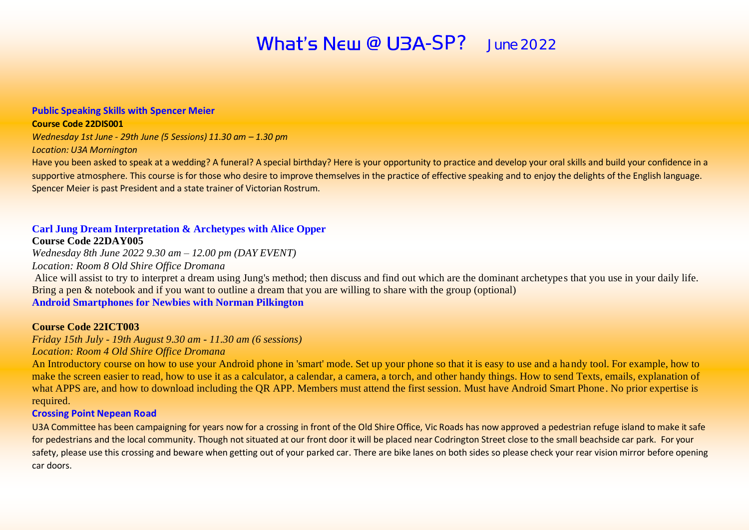# What's  $N$ EW @ U3A-SP? June 2022

#### **Public Speaking Skills with Spencer Meier**

#### **Course Code 22DIS001**

*Wednesday 1st June - 29th June (5 Sessions) 11.30 am – 1.30 pm Location: U3A Mornington*

Have you been asked to speak at a wedding? A funeral? A special birthday? Here is your opportunity to practice and develop your oral skills and build your confidence in a supportive atmosphere. This course is for those who desire to improve themselves in the practice of effective speaking and to enjoy the delights of the English language. Spencer Meier is past President and a state trainer of Victorian Rostrum.

#### **Carl Jung Dream Interpretation & Archetypes with Alice Opper**

#### **Course Code 22DAY005**

*Wednesday 8th June 2022 9.30 am – 12.00 pm (DAY EVENT)*

*Location: Room 8 Old Shire Office Dromana*

Alice will assist to try to interpret a dream using Jung's method; then discuss and find out which are the dominant archetypes that you use in your daily life. Bring a pen & notebook and if you want to outline a dream that you are willing to share with the group (optional) **Android Smartphones for Newbies with Norman Pilkington**

#### **Course Code 22ICT003**

*Friday 15th July - 19th August 9.30 am - 11.30 am (6 sessions) Location: Room 4 Old Shire Office Dromana*

An Introductory course on how to use your Android phone in 'smart' mode. Set up your phone so that it is easy to use and a handy tool. For example, how to make the screen easier to read, how to use it as a calculator, a calendar, a camera, a torch, and other handy things. How to send Texts, emails, explanation of what APPS are, and how to download including the OR APP. Members must attend the first session. Must have Android Smart Phone. No prior expertise is required.

#### **Crossing Point Nepean Road**

U3A Committee has been campaigning for years now for a crossing in front of the Old Shire Office, Vic Roads has now approved a pedestrian refuge island to make it safe for pedestrians and the local community. Though not situated at our front door it will be placed near Codrington Street close to the small beachside car park. For your safety, please use this crossing and beware when getting out of your parked car. There are bike lanes on both sides so please check your rear vision mirror before opening car doors.